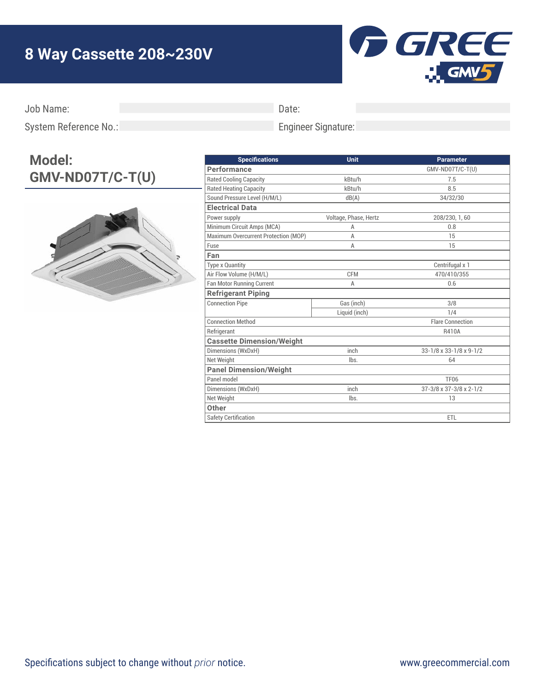## **8 Way Cassette 208~230V**



Job Name:

Date:

Engineer Signature:

System Reference No.:

## **Model: GMV-ND07T/C-T(U)**



| <b>Specifications</b>                | Unit                  | <b>Parameter</b>        |
|--------------------------------------|-----------------------|-------------------------|
| Performance                          |                       | GMV-ND07T/C-T(U)        |
| <b>Rated Cooling Capacity</b>        | kBtu/h                | 7.5                     |
| <b>Rated Heating Capacity</b>        | kBtu/h                | 8.5                     |
| Sound Pressure Level (H/M/L)         | dB(A)                 | 34/32/30                |
| <b>Electrical Data</b>               |                       |                         |
| Power supply                         | Voltage, Phase, Hertz | 208/230, 1, 60          |
| Minimum Circuit Amps (MCA)           | A                     | 0.8                     |
| Maximum Overcurrent Protection (MOP) | A                     | 15                      |
| Fuse                                 | A                     | 15                      |
| Fan                                  |                       |                         |
| <b>Type x Quantity</b>               |                       | Centrifugal x 1         |
| Air Flow Volume (H/M/L)              | <b>CFM</b>            | 470/410/355             |
| <b>Fan Motor Running Current</b>     | A                     | 0.6                     |
| <b>Refrigerant Piping</b>            |                       |                         |
| <b>Connection Pipe</b>               | Gas (inch)            | 3/8                     |
|                                      | Liquid (inch)         | 1/4                     |
| <b>Connection Method</b>             |                       | <b>Flare Connection</b> |
| Refrigerant                          |                       | R410A                   |
| <b>Cassette Dimension/Weight</b>     |                       |                         |
| Dimensions (WxDxH)                   | inch                  | 33-1/8 x 33-1/8 x 9-1/2 |
| Net Weight                           | lbs.                  | 64                      |
| <b>Panel Dimension/Weight</b>        |                       |                         |
| Panel model                          |                       | <b>TF06</b>             |
| Dimensions (WxDxH)                   | inch                  | 37-3/8 x 37-3/8 x 2-1/2 |
| Net Weight                           | lbs.                  | 13                      |
| Other                                |                       |                         |
| <b>Safety Certification</b>          |                       | ETL                     |